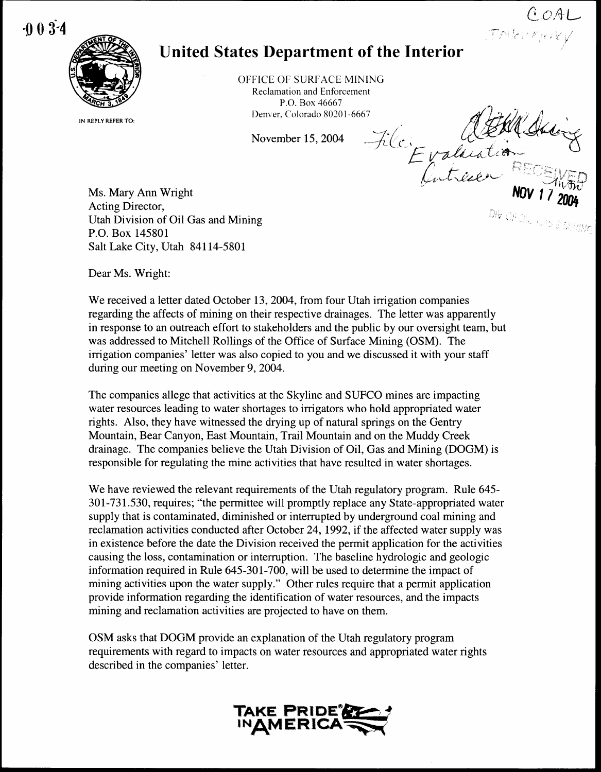$-0.03 - 4$ 



IN REPLY REFER TO:

## United States Department of the Interior

OFFICE OF SURFACE MINING Reclamation and Enforcement P.O. Box 46667 Denver, Colorado 80201-6667

November 15, 2004

File Evaluation DIV. OF CII. CAS & MERING

COAL<br>Intergray

Ms. Mary Ann Wright Acting Director, Utah Division of Oil Gas and Mining P.O. Box 145801 Salt Lake City, Utah 84114-5801

Dear Ms. Wright:

We received a letter dated October 13, 2004, from four Utah irrigation companies regarding the affects of mining on their respective drainages . The letter was apparently in response to an outreach effort to stakeholders and the public by our oversight team, but was addressed to Mitchell Rollings of the Office of Surface Mining (OSM). The irrigation companies' letter was also copied to you and we discussed it with your staff during our meeting on November 9, 2004 .

The companies allege that activities at the Skyline and SUFCO mines are impacting water resources leading to water shortages to irrigators who hold appropriated water rights. Also, they have witnessed the drying up of natural springs on the Gentry Mountain, Bear Canyon, East Mountain, Trail Mountain and on the Muddy Creek drainage. The companies believe the Utah Division of Oil, Gas and Mining (DOGM) is responsible for regulating the mine activities that have resulted in water shortages .

We have reviewed the relevant requirements of the Utah regulatory program. Rule 645-301-731 .530, requires ; "the permittee will promptly replace any State-appropriated water supply that is contaminated, diminished or interrupted by underground coal mining and reclamation activities conducted after October 24, 1992, if the affected water supply was in existence before the date the Division received the permit application for the activities causing the loss, contamination or interruption . The baseline hydrologic and geologic information required in Rule 645-301-700, will be used to determine the impact of mining activities upon the water supply." Other rules require that a permit application provide information regarding the identification of water resources, and the impacts mining and reclamation activities are projected to have on them.

OSM asks that DOGM provide an explanation of the Utah regulatory program requirements with regard to impacts on water resources and appropriated water rights described in the companies' letter.